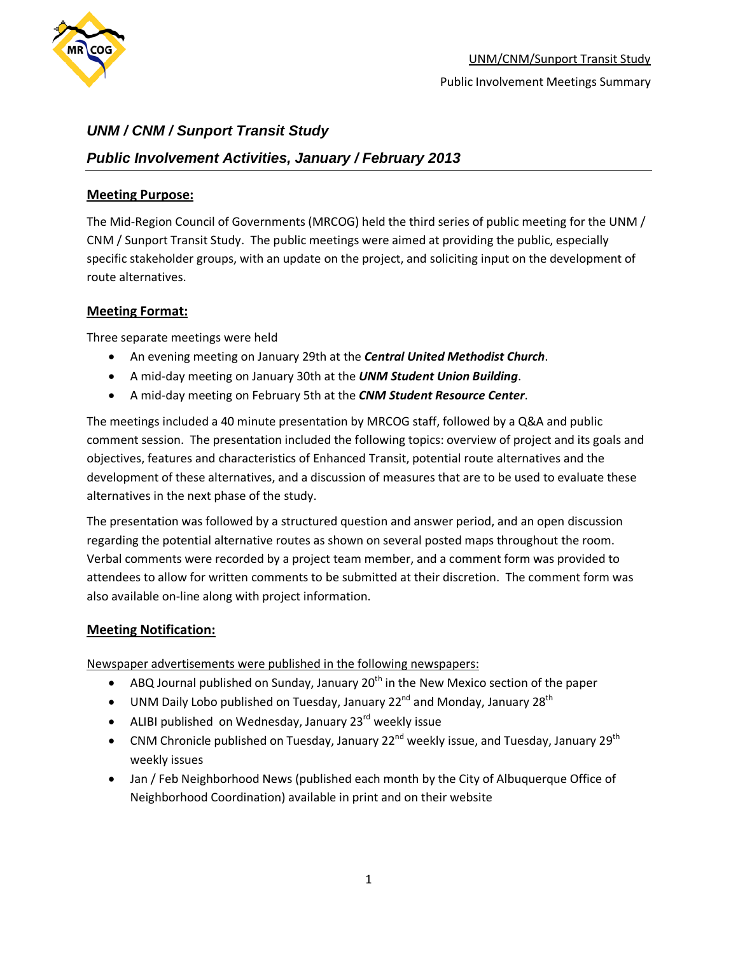

## *Public Involvement Activities, January / February 2013*

### **Meeting Purpose:**

The Mid-Region Council of Governments (MRCOG) held the third series of public meeting for the UNM / CNM / Sunport Transit Study. The public meetings were aimed at providing the public, especially specific stakeholder groups, with an update on the project, and soliciting input on the development of route alternatives.

### **Meeting Format:**

Three separate meetings were held

- An evening meeting on January 29th at the *Central United Methodist Church*.
- A mid-day meeting on January 30th at the *UNM Student Union Building*.
- A mid-day meeting on February 5th at the *CNM Student Resource Center*.

The meetings included a 40 minute presentation by MRCOG staff, followed by a Q&A and public comment session. The presentation included the following topics: overview of project and its goals and objectives, features and characteristics of Enhanced Transit, potential route alternatives and the development of these alternatives, and a discussion of measures that are to be used to evaluate these alternatives in the next phase of the study.

The presentation was followed by a structured question and answer period, and an open discussion regarding the potential alternative routes as shown on several posted maps throughout the room. Verbal comments were recorded by a project team member, and a comment form was provided to attendees to allow for written comments to be submitted at their discretion. The comment form was also available on-line along with project information.

### **Meeting Notification:**

Newspaper advertisements were published in the following newspapers:

- ABQ Journal published on Sunday, January  $20<sup>th</sup>$  in the New Mexico section of the paper
- UNM Daily Lobo published on Tuesday, January 22<sup>nd</sup> and Monday, January 28<sup>th</sup>
- ALIBI published on Wednesday, January  $23^{rd}$  weekly issue
- CNM Chronicle published on Tuesday, January 22<sup>nd</sup> weekly issue, and Tuesday, January 29<sup>th</sup> weekly issues
- Jan / Feb Neighborhood News (published each month by the City of Albuquerque Office of Neighborhood Coordination) available in print and on their website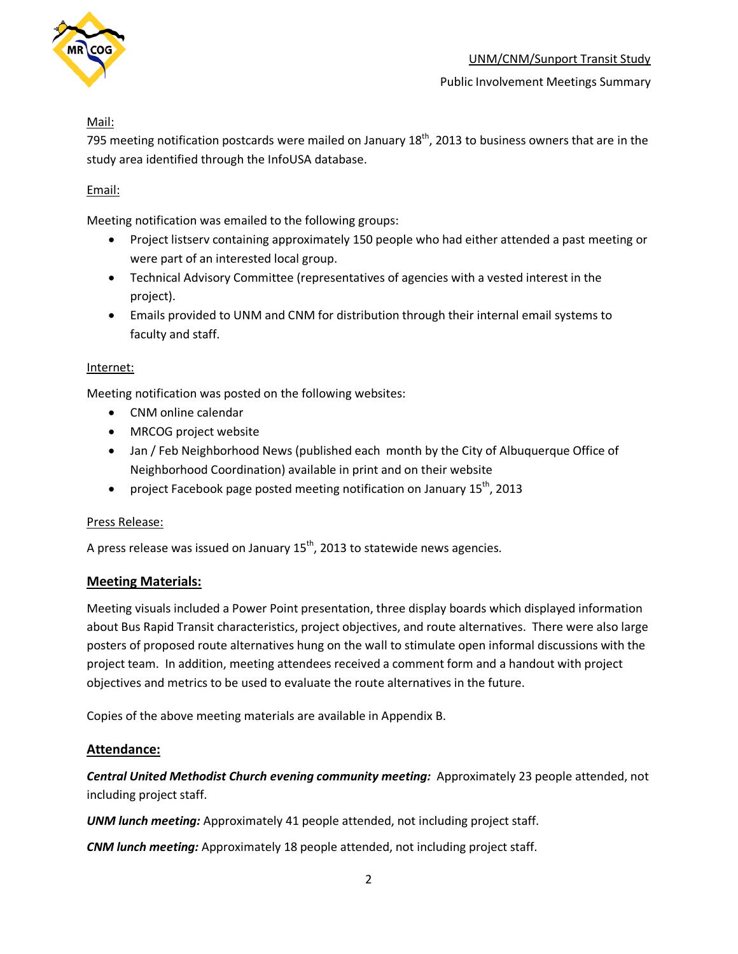

## Mail:

795 meeting notification postcards were mailed on January  $18<sup>th</sup>$ , 2013 to business owners that are in the study area identified through the InfoUSA database.

## Email:

Meeting notification was emailed to the following groups:

- Project listserv containing approximately 150 people who had either attended a past meeting or were part of an interested local group.
- Technical Advisory Committee (representatives of agencies with a vested interest in the project).
- Emails provided to UNM and CNM for distribution through their internal email systems to faculty and staff.

### Internet:

Meeting notification was posted on the following websites:

- CNM online calendar
- MRCOG project website
- Jan / Feb Neighborhood News (published each month by the City of Albuquerque Office of Neighborhood Coordination) available in print and on their website
- project Facebook page posted meeting notification on January  $15^{th}$ , 2013

#### Press Release:

A press release was issued on January 15<sup>th</sup>, 2013 to statewide news agencies.

### **Meeting Materials:**

Meeting visuals included a Power Point presentation, three display boards which displayed information about Bus Rapid Transit characteristics, project objectives, and route alternatives. There were also large posters of proposed route alternatives hung on the wall to stimulate open informal discussions with the project team. In addition, meeting attendees received a comment form and a handout with project objectives and metrics to be used to evaluate the route alternatives in the future.

Copies of the above meeting materials are available in Appendix B.

### **Attendance:**

*Central United Methodist Church evening community meeting:* Approximately 23 people attended, not including project staff.

*UNM lunch meeting:* Approximately 41 people attended, not including project staff.

*CNM lunch meeting:* Approximately 18 people attended, not including project staff.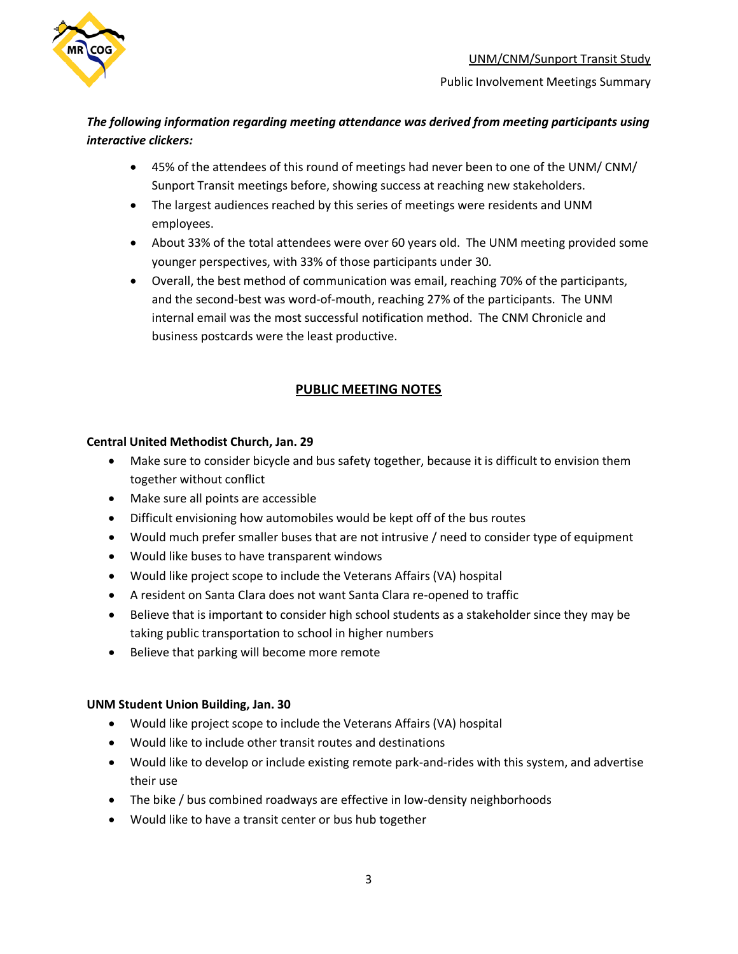

## *The following information regarding meeting attendance was derived from meeting participants using interactive clickers:*

- 45% of the attendees of this round of meetings had never been to one of the UNM/ CNM/ Sunport Transit meetings before, showing success at reaching new stakeholders.
- The largest audiences reached by this series of meetings were residents and UNM employees.
- About 33% of the total attendees were over 60 years old. The UNM meeting provided some younger perspectives, with 33% of those participants under 30.
- Overall, the best method of communication was email, reaching 70% of the participants, and the second-best was word-of-mouth, reaching 27% of the participants. The UNM internal email was the most successful notification method. The CNM Chronicle and business postcards were the least productive.

## **PUBLIC MEETING NOTES**

#### **Central United Methodist Church, Jan. 29**

- Make sure to consider bicycle and bus safety together, because it is difficult to envision them together without conflict
- Make sure all points are accessible
- Difficult envisioning how automobiles would be kept off of the bus routes
- Would much prefer smaller buses that are not intrusive / need to consider type of equipment
- Would like buses to have transparent windows
- Would like project scope to include the Veterans Affairs (VA) hospital
- A resident on Santa Clara does not want Santa Clara re-opened to traffic
- Believe that is important to consider high school students as a stakeholder since they may be taking public transportation to school in higher numbers
- Believe that parking will become more remote

#### **UNM Student Union Building, Jan. 30**

- Would like project scope to include the Veterans Affairs (VA) hospital
- Would like to include other transit routes and destinations
- Would like to develop or include existing remote park-and-rides with this system, and advertise their use
- The bike / bus combined roadways are effective in low-density neighborhoods
- Would like to have a transit center or bus hub together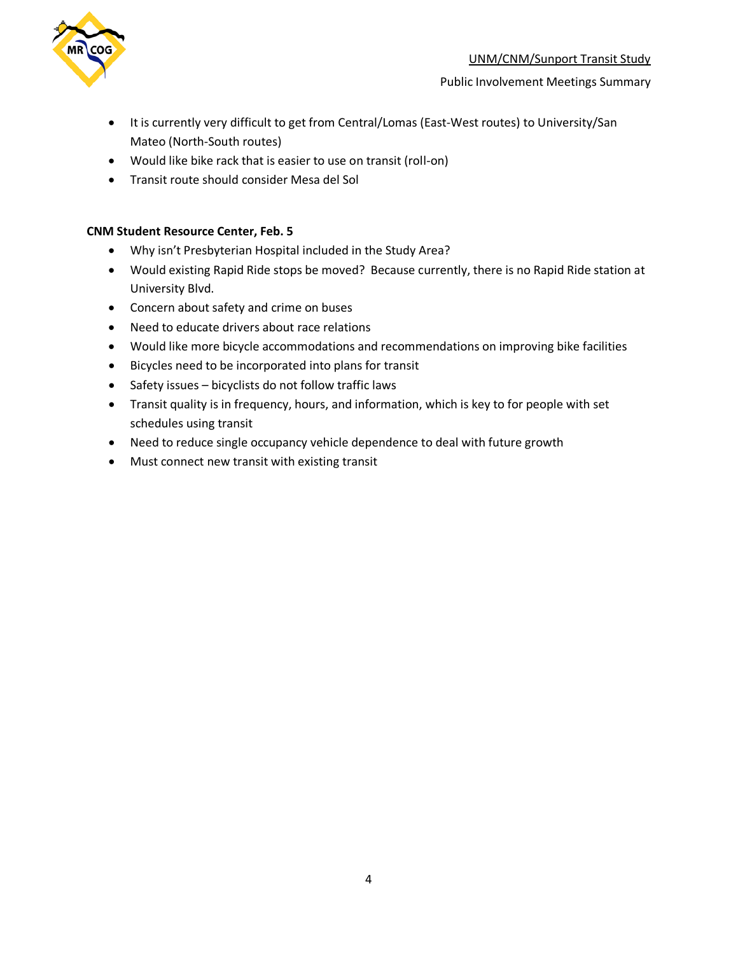

- It is currently very difficult to get from Central/Lomas (East-West routes) to University/San Mateo (North-South routes)
- Would like bike rack that is easier to use on transit (roll-on)
- Transit route should consider Mesa del Sol

### **CNM Student Resource Center, Feb. 5**

- Why isn't Presbyterian Hospital included in the Study Area?
- Would existing Rapid Ride stops be moved? Because currently, there is no Rapid Ride station at University Blvd.
- Concern about safety and crime on buses
- Need to educate drivers about race relations
- Would like more bicycle accommodations and recommendations on improving bike facilities
- Bicycles need to be incorporated into plans for transit
- Safety issues bicyclists do not follow traffic laws
- Transit quality is in frequency, hours, and information, which is key to for people with set schedules using transit
- Need to reduce single occupancy vehicle dependence to deal with future growth
- Must connect new transit with existing transit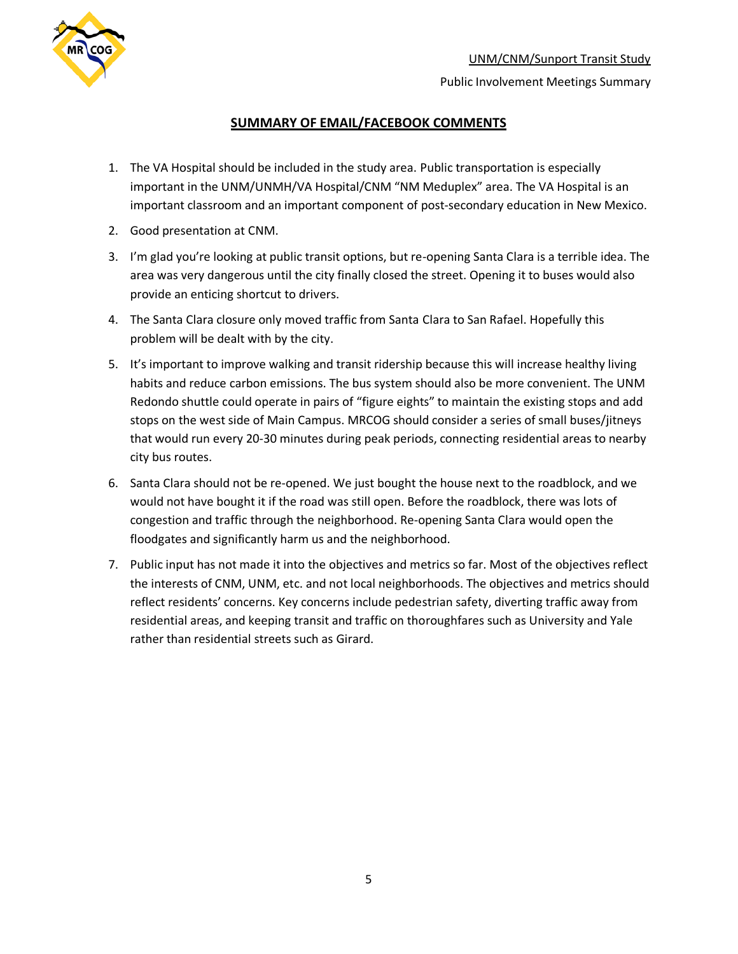

### **SUMMARY OF EMAIL/FACEBOOK COMMENTS**

- 1. The VA Hospital should be included in the study area. Public transportation is especially important in the UNM/UNMH/VA Hospital/CNM "NM Meduplex" area. The VA Hospital is an important classroom and an important component of post-secondary education in New Mexico.
- 2. Good presentation at CNM.
- 3. I'm glad you're looking at public transit options, but re-opening Santa Clara is a terrible idea. The area was very dangerous until the city finally closed the street. Opening it to buses would also provide an enticing shortcut to drivers.
- 4. The Santa Clara closure only moved traffic from Santa Clara to San Rafael. Hopefully this problem will be dealt with by the city.
- 5. It's important to improve walking and transit ridership because this will increase healthy living habits and reduce carbon emissions. The bus system should also be more convenient. The UNM Redondo shuttle could operate in pairs of "figure eights" to maintain the existing stops and add stops on the west side of Main Campus. MRCOG should consider a series of small buses/jitneys that would run every 20-30 minutes during peak periods, connecting residential areas to nearby city bus routes.
- 6. Santa Clara should not be re-opened. We just bought the house next to the roadblock, and we would not have bought it if the road was still open. Before the roadblock, there was lots of congestion and traffic through the neighborhood. Re-opening Santa Clara would open the floodgates and significantly harm us and the neighborhood.
- 7. Public input has not made it into the objectives and metrics so far. Most of the objectives reflect the interests of CNM, UNM, etc. and not local neighborhoods. The objectives and metrics should reflect residents' concerns. Key concerns include pedestrian safety, diverting traffic away from residential areas, and keeping transit and traffic on thoroughfares such as University and Yale rather than residential streets such as Girard.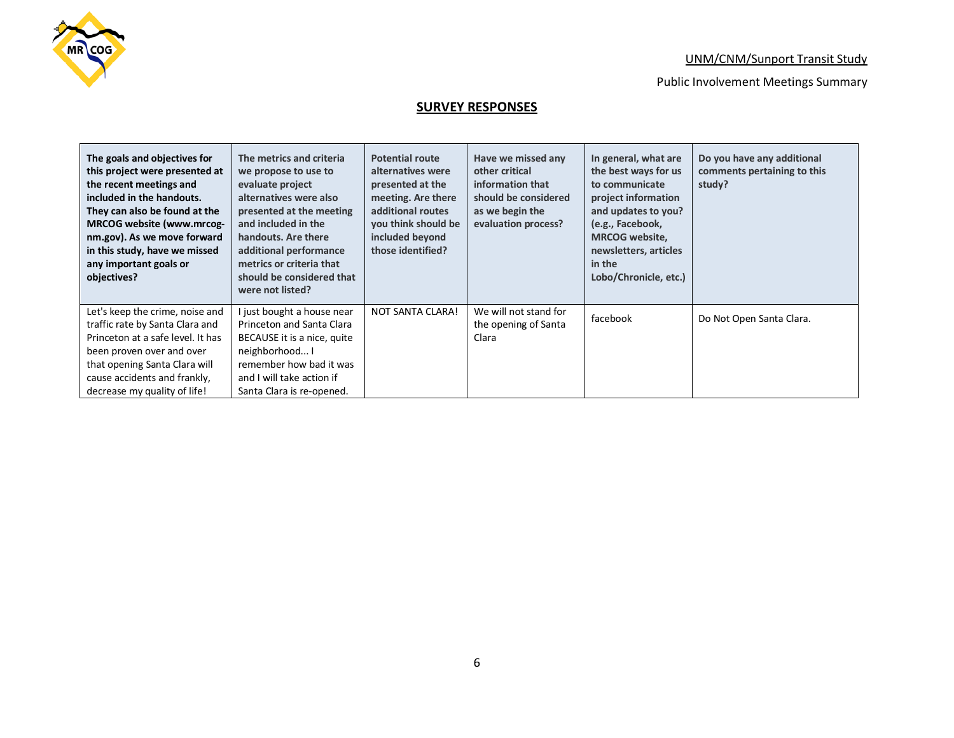

## **SURVEY RESPONSES**

| The goals and objectives for<br>this project were presented at<br>the recent meetings and<br>included in the handouts.<br>They can also be found at the<br><b>MRCOG website (www.mrcog-</b><br>nm.gov). As we move forward<br>in this study, have we missed<br>any important goals or<br>objectives? | The metrics and criteria<br>we propose to use to<br>evaluate project<br>alternatives were also<br>presented at the meeting<br>and included in the<br>handouts. Are there<br>additional performance<br>metrics or criteria that<br>should be considered that<br>were not listed? | <b>Potential route</b><br>alternatives were<br>presented at the<br>meeting. Are there<br>additional routes<br>you think should be<br>included beyond<br>those identified? | Have we missed any<br>other critical<br>information that<br>should be considered<br>as we begin the<br>evaluation process? | In general, what are<br>the best ways for us<br>to communicate<br>project information<br>and updates to you?<br>(e.g., Facebook,<br><b>MRCOG</b> website,<br>newsletters, articles<br>in the<br>Lobo/Chronicle, etc.) | Do you have any additional<br>comments pertaining to this<br>study? |
|------------------------------------------------------------------------------------------------------------------------------------------------------------------------------------------------------------------------------------------------------------------------------------------------------|---------------------------------------------------------------------------------------------------------------------------------------------------------------------------------------------------------------------------------------------------------------------------------|---------------------------------------------------------------------------------------------------------------------------------------------------------------------------|----------------------------------------------------------------------------------------------------------------------------|-----------------------------------------------------------------------------------------------------------------------------------------------------------------------------------------------------------------------|---------------------------------------------------------------------|
| Let's keep the crime, noise and<br>traffic rate by Santa Clara and<br>Princeton at a safe level. It has<br>been proven over and over<br>that opening Santa Clara will<br>cause accidents and frankly,<br>decrease my quality of life!                                                                | just bought a house near<br>Princeton and Santa Clara<br>BECAUSE it is a nice, quite<br>neighborhood I<br>remember how bad it was<br>and I will take action if<br>Santa Clara is re-opened.                                                                                     | <b>NOT SANTA CLARA!</b>                                                                                                                                                   | We will not stand for<br>the opening of Santa<br>Clara                                                                     | facebook                                                                                                                                                                                                              | Do Not Open Santa Clara.                                            |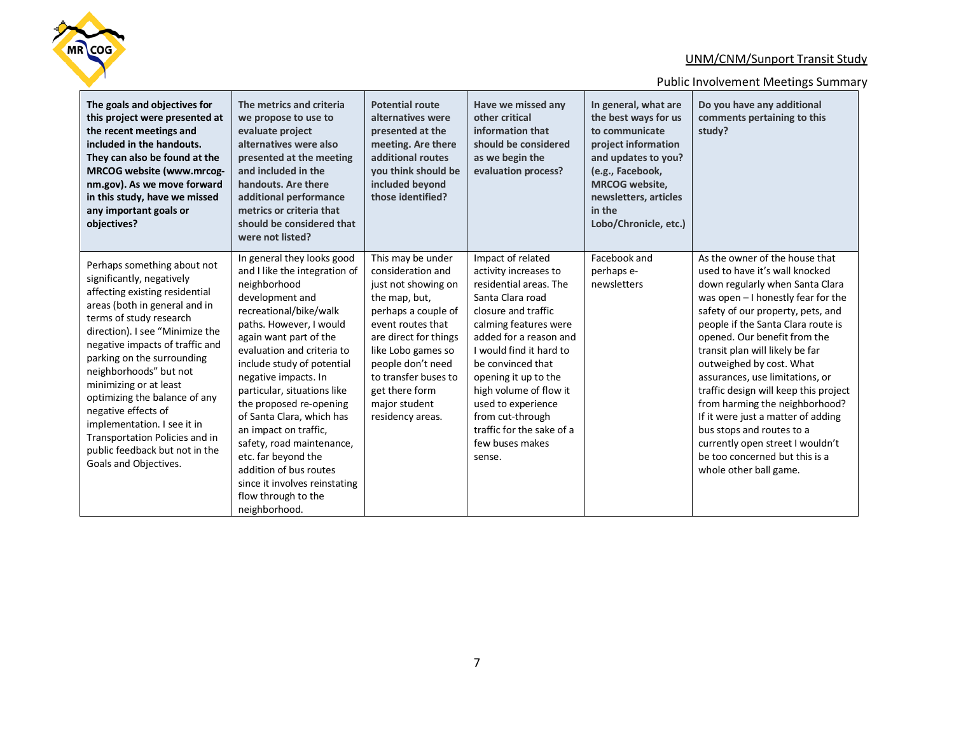

| The goals and objectives for<br>this project were presented at<br>the recent meetings and<br>included in the handouts.<br>They can also be found at the<br><b>MRCOG website (www.mrcog-</b><br>nm.gov). As we move forward<br>in this study, have we missed<br>any important goals or<br>objectives?                                                                                                                                                                                               | The metrics and criteria<br>we propose to use to<br>evaluate project<br>alternatives were also<br>presented at the meeting<br>and included in the<br>handouts. Are there<br>additional performance<br>metrics or criteria that<br>should be considered that<br>were not listed?                                                                                                                                                                                                                                                          | <b>Potential route</b><br>alternatives were<br>presented at the<br>meeting. Are there<br>additional routes<br>you think should be<br>included beyond<br>those identified?                                                                                                     | Have we missed any<br>other critical<br>information that<br>should be considered<br>as we begin the<br>evaluation process?                                                                                                                                                                                                                                               | In general, what are<br>the best ways for us<br>to communicate<br>project information<br>and updates to you?<br>(e.g., Facebook,<br><b>MRCOG</b> website,<br>newsletters, articles<br>in the<br>Lobo/Chronicle, etc.) | Do you have any additional<br>comments pertaining to this<br>study?                                                                                                                                                                                                                                                                                                                                                                                                                                                                                                                                   |
|----------------------------------------------------------------------------------------------------------------------------------------------------------------------------------------------------------------------------------------------------------------------------------------------------------------------------------------------------------------------------------------------------------------------------------------------------------------------------------------------------|------------------------------------------------------------------------------------------------------------------------------------------------------------------------------------------------------------------------------------------------------------------------------------------------------------------------------------------------------------------------------------------------------------------------------------------------------------------------------------------------------------------------------------------|-------------------------------------------------------------------------------------------------------------------------------------------------------------------------------------------------------------------------------------------------------------------------------|--------------------------------------------------------------------------------------------------------------------------------------------------------------------------------------------------------------------------------------------------------------------------------------------------------------------------------------------------------------------------|-----------------------------------------------------------------------------------------------------------------------------------------------------------------------------------------------------------------------|-------------------------------------------------------------------------------------------------------------------------------------------------------------------------------------------------------------------------------------------------------------------------------------------------------------------------------------------------------------------------------------------------------------------------------------------------------------------------------------------------------------------------------------------------------------------------------------------------------|
| Perhaps something about not<br>significantly, negatively<br>affecting existing residential<br>areas (both in general and in<br>terms of study research<br>direction). I see "Minimize the<br>negative impacts of traffic and<br>parking on the surrounding<br>neighborhoods" but not<br>minimizing or at least<br>optimizing the balance of any<br>negative effects of<br>implementation. I see it in<br>Transportation Policies and in<br>public feedback but not in the<br>Goals and Objectives. | In general they looks good<br>and I like the integration of<br>neighborhood<br>development and<br>recreational/bike/walk<br>paths. However, I would<br>again want part of the<br>evaluation and criteria to<br>include study of potential<br>negative impacts. In<br>particular, situations like<br>the proposed re-opening<br>of Santa Clara, which has<br>an impact on traffic,<br>safety, road maintenance,<br>etc. far beyond the<br>addition of bus routes<br>since it involves reinstating<br>flow through to the<br>neighborhood. | This may be under<br>consideration and<br>just not showing on<br>the map, but,<br>perhaps a couple of<br>event routes that<br>are direct for things<br>like Lobo games so<br>people don't need<br>to transfer buses to<br>get there form<br>major student<br>residency areas. | Impact of related<br>activity increases to<br>residential areas. The<br>Santa Clara road<br>closure and traffic<br>calming features were<br>added for a reason and<br>I would find it hard to<br>be convinced that<br>opening it up to the<br>high volume of flow it<br>used to experience<br>from cut-through<br>traffic for the sake of a<br>few buses makes<br>sense. | Facebook and<br>perhaps e-<br>newsletters                                                                                                                                                                             | As the owner of the house that<br>used to have it's wall knocked<br>down regularly when Santa Clara<br>was open $-1$ honestly fear for the<br>safety of our property, pets, and<br>people if the Santa Clara route is<br>opened. Our benefit from the<br>transit plan will likely be far<br>outweighed by cost. What<br>assurances, use limitations, or<br>traffic design will keep this project<br>from harming the neighborhood?<br>If it were just a matter of adding<br>bus stops and routes to a<br>currently open street I wouldn't<br>be too concerned but this is a<br>whole other ball game. |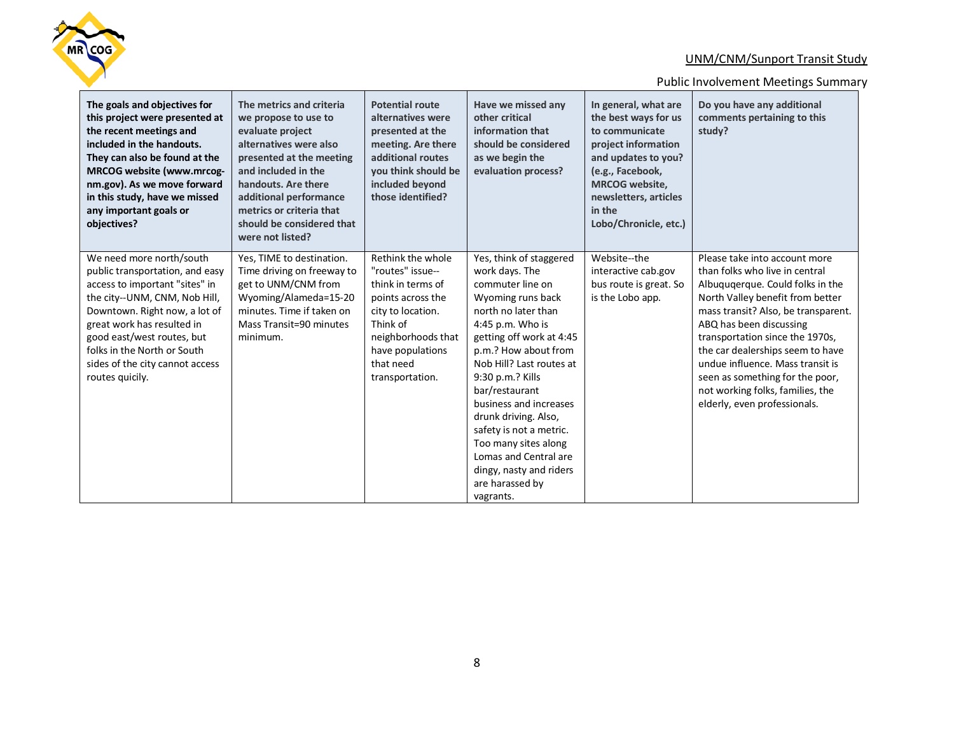

| The goals and objectives for<br>this project were presented at<br>the recent meetings and<br>included in the handouts.<br>They can also be found at the<br>MRCOG website (www.mrcog-<br>nm.gov). As we move forward<br>in this study, have we missed<br>any important goals or<br>objectives?                    | The metrics and criteria<br>we propose to use to<br>evaluate project<br>alternatives were also<br>presented at the meeting<br>and included in the<br>handouts. Are there<br>additional performance<br>metrics or criteria that<br>should be considered that<br>were not listed? | <b>Potential route</b><br>alternatives were<br>presented at the<br>meeting. Are there<br>additional routes<br>you think should be<br>included beyond<br>those identified?                  | Have we missed any<br>other critical<br>information that<br>should be considered<br>as we begin the<br>evaluation process?                                                                                                                                                                                                                                                                                                                   | In general, what are<br>the best ways for us<br>to communicate<br>project information<br>and updates to you?<br>(e.g., Facebook,<br><b>MRCOG</b> website,<br>newsletters, articles<br>in the<br>Lobo/Chronicle, etc.) | Do you have any additional<br>comments pertaining to this<br>study?                                                                                                                                                                                                                                                                                                                                                         |
|------------------------------------------------------------------------------------------------------------------------------------------------------------------------------------------------------------------------------------------------------------------------------------------------------------------|---------------------------------------------------------------------------------------------------------------------------------------------------------------------------------------------------------------------------------------------------------------------------------|--------------------------------------------------------------------------------------------------------------------------------------------------------------------------------------------|----------------------------------------------------------------------------------------------------------------------------------------------------------------------------------------------------------------------------------------------------------------------------------------------------------------------------------------------------------------------------------------------------------------------------------------------|-----------------------------------------------------------------------------------------------------------------------------------------------------------------------------------------------------------------------|-----------------------------------------------------------------------------------------------------------------------------------------------------------------------------------------------------------------------------------------------------------------------------------------------------------------------------------------------------------------------------------------------------------------------------|
| We need more north/south<br>public transportation, and easy<br>access to important "sites" in<br>the city--UNM, CNM, Nob Hill,<br>Downtown. Right now, a lot of<br>great work has resulted in<br>good east/west routes, but<br>folks in the North or South<br>sides of the city cannot access<br>routes quicily. | Yes, TIME to destination.<br>Time driving on freeway to<br>get to UNM/CNM from<br>Wyoming/Alameda=15-20<br>minutes. Time if taken on<br>Mass Transit=90 minutes<br>minimum.                                                                                                     | Rethink the whole<br>"routes" issue--<br>think in terms of<br>points across the<br>city to location.<br>Think of<br>neighborhoods that<br>have populations<br>that need<br>transportation. | Yes, think of staggered<br>work days. The<br>commuter line on<br>Wyoming runs back<br>north no later than<br>4:45 p.m. Who is<br>getting off work at 4:45<br>p.m.? How about from<br>Nob Hill? Last routes at<br>9:30 p.m.? Kills<br>bar/restaurant<br>business and increases<br>drunk driving. Also,<br>safety is not a metric.<br>Too many sites along<br>Lomas and Central are<br>dingy, nasty and riders<br>are harassed by<br>vagrants. | Website--the<br>interactive cab.gov<br>bus route is great. So<br>is the Lobo app.                                                                                                                                     | Please take into account more<br>than folks who live in central<br>Albuquqerque. Could folks in the<br>North Valley benefit from better<br>mass transit? Also, be transparent.<br>ABQ has been discussing<br>transportation since the 1970s,<br>the car dealerships seem to have<br>undue influence. Mass transit is<br>seen as something for the poor,<br>not working folks, families, the<br>elderly, even professionals. |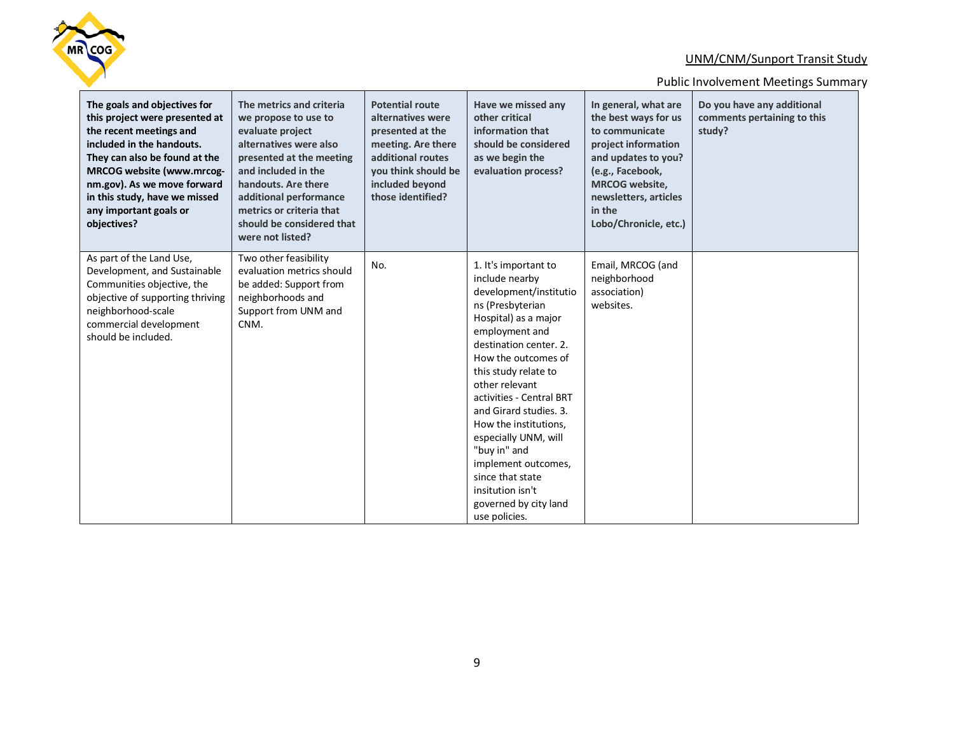

| The goals and objectives for<br>this project were presented at<br>the recent meetings and<br>included in the handouts.<br>They can also be found at the<br>MRCOG website (www.mrcog-<br>nm.gov). As we move forward<br>in this study, have we missed<br>any important goals or<br>objectives? | The metrics and criteria<br>we propose to use to<br>evaluate project<br>alternatives were also<br>presented at the meeting<br>and included in the<br>handouts. Are there<br>additional performance<br>metrics or criteria that<br>should be considered that<br>were not listed? | <b>Potential route</b><br>alternatives were<br>presented at the<br>meeting. Are there<br>additional routes<br>you think should be<br>included beyond<br>those identified? | Have we missed any<br>other critical<br>information that<br>should be considered<br>as we begin the<br>evaluation process?                                                                                                                                                                                                                                                                                                                                | In general, what are<br>the best ways for us<br>to communicate<br>project information<br>and updates to you?<br>(e.g., Facebook,<br><b>MRCOG</b> website,<br>newsletters, articles<br>in the<br>Lobo/Chronicle, etc.) | Do you have any additional<br>comments pertaining to this<br>study? |
|-----------------------------------------------------------------------------------------------------------------------------------------------------------------------------------------------------------------------------------------------------------------------------------------------|---------------------------------------------------------------------------------------------------------------------------------------------------------------------------------------------------------------------------------------------------------------------------------|---------------------------------------------------------------------------------------------------------------------------------------------------------------------------|-----------------------------------------------------------------------------------------------------------------------------------------------------------------------------------------------------------------------------------------------------------------------------------------------------------------------------------------------------------------------------------------------------------------------------------------------------------|-----------------------------------------------------------------------------------------------------------------------------------------------------------------------------------------------------------------------|---------------------------------------------------------------------|
| As part of the Land Use,<br>Development, and Sustainable<br>Communities objective, the<br>objective of supporting thriving<br>neighborhood-scale<br>commercial development<br>should be included.                                                                                             | Two other feasibility<br>evaluation metrics should<br>be added: Support from<br>neighborhoods and<br>Support from UNM and<br>CNM.                                                                                                                                               | No.                                                                                                                                                                       | 1. It's important to<br>include nearby<br>development/institutio<br>ns (Presbyterian<br>Hospital) as a major<br>employment and<br>destination center, 2.<br>How the outcomes of<br>this study relate to<br>other relevant<br>activities - Central BRT<br>and Girard studies, 3.<br>How the institutions,<br>especially UNM, will<br>"buy in" and<br>implement outcomes,<br>since that state<br>insitution isn't<br>governed by city land<br>use policies. | Email, MRCOG (and<br>neighborhood<br>association)<br>websites.                                                                                                                                                        |                                                                     |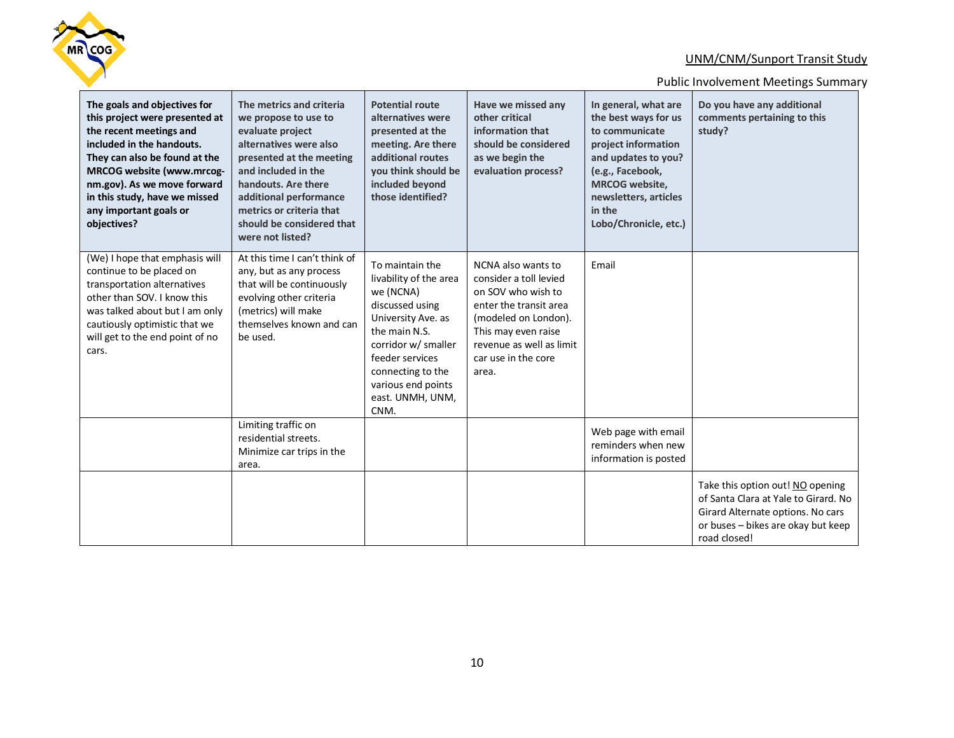

| The goals and objectives for<br>this project were presented at<br>the recent meetings and<br>included in the handouts.<br>They can also be found at the<br>MRCOG website (www.mrcog-<br>nm.gov). As we move forward<br>in this study, have we missed<br>any important goals or<br>objectives? | The metrics and criteria<br>we propose to use to<br>evaluate project<br>alternatives were also<br>presented at the meeting<br>and included in the<br>handouts. Are there<br>additional performance<br>metrics or criteria that<br>should be considered that<br>were not listed? | <b>Potential route</b><br>alternatives were<br>presented at the<br>meeting. Are there<br>additional routes<br>you think should be<br>included beyond<br>those identified?                                                         | Have we missed any<br>other critical<br>information that<br>should be considered<br>as we begin the<br>evaluation process?                                                                              | In general, what are<br>the best ways for us<br>to communicate<br>project information<br>and updates to you?<br>(e.g., Facebook,<br><b>MRCOG</b> website,<br>newsletters, articles<br>in the<br>Lobo/Chronicle, etc.) | Do you have any additional<br>comments pertaining to this<br>study?                                                                                                 |
|-----------------------------------------------------------------------------------------------------------------------------------------------------------------------------------------------------------------------------------------------------------------------------------------------|---------------------------------------------------------------------------------------------------------------------------------------------------------------------------------------------------------------------------------------------------------------------------------|-----------------------------------------------------------------------------------------------------------------------------------------------------------------------------------------------------------------------------------|---------------------------------------------------------------------------------------------------------------------------------------------------------------------------------------------------------|-----------------------------------------------------------------------------------------------------------------------------------------------------------------------------------------------------------------------|---------------------------------------------------------------------------------------------------------------------------------------------------------------------|
| (We) I hope that emphasis will<br>continue to be placed on<br>transportation alternatives<br>other than SOV. I know this<br>was talked about but I am only<br>cautiously optimistic that we<br>will get to the end point of no<br>cars.                                                       | At this time I can't think of<br>any, but as any process<br>that will be continuously<br>evolving other criteria<br>(metrics) will make<br>themselves known and can<br>be used.                                                                                                 | To maintain the<br>livability of the area<br>we (NCNA)<br>discussed using<br>University Ave. as<br>the main N.S.<br>corridor w/ smaller<br>feeder services<br>connecting to the<br>various end points<br>east. UNMH, UNM,<br>CNM. | NCNA also wants to<br>consider a toll levied<br>on SOV who wish to<br>enter the transit area<br>(modeled on London).<br>This may even raise<br>revenue as well as limit<br>car use in the core<br>area. | Email                                                                                                                                                                                                                 |                                                                                                                                                                     |
|                                                                                                                                                                                                                                                                                               | Limiting traffic on<br>residential streets.<br>Minimize car trips in the<br>area.                                                                                                                                                                                               |                                                                                                                                                                                                                                   |                                                                                                                                                                                                         | Web page with email<br>reminders when new<br>information is posted                                                                                                                                                    |                                                                                                                                                                     |
|                                                                                                                                                                                                                                                                                               |                                                                                                                                                                                                                                                                                 |                                                                                                                                                                                                                                   |                                                                                                                                                                                                         |                                                                                                                                                                                                                       | Take this option out! NO opening<br>of Santa Clara at Yale to Girard. No<br>Girard Alternate options. No cars<br>or buses - bikes are okay but keep<br>road closed! |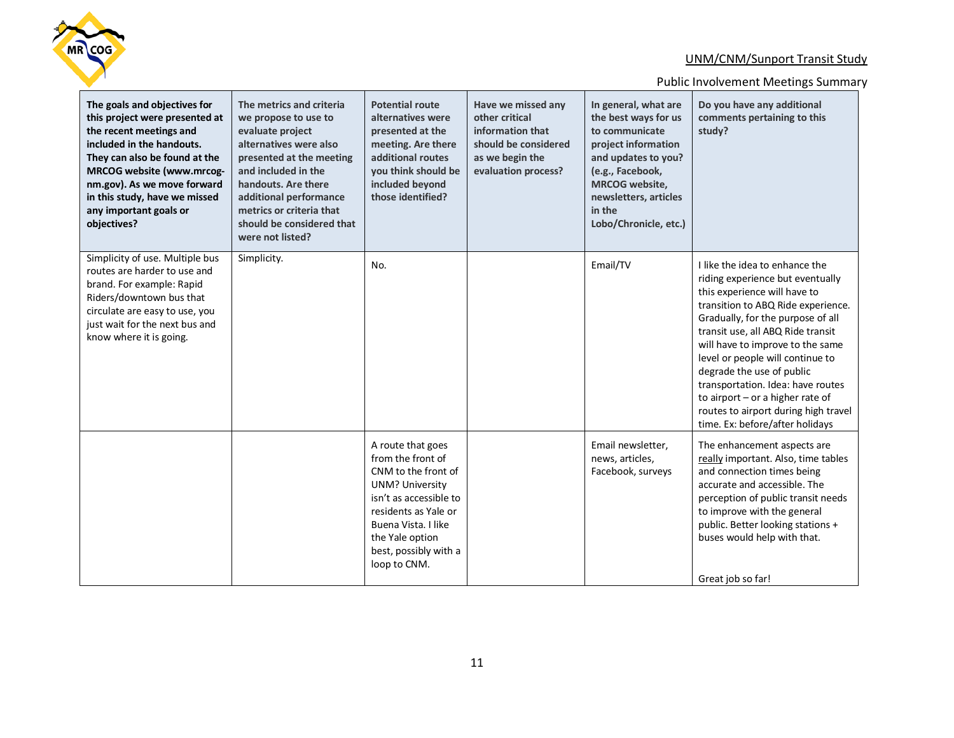

| The goals and objectives for<br>this project were presented at<br>the recent meetings and<br>included in the handouts.<br>They can also be found at the<br>MRCOG website (www.mrcog-<br>nm.gov). As we move forward<br>in this study, have we missed<br>any important goals or<br>objectives? | The metrics and criteria<br>we propose to use to<br>evaluate project<br>alternatives were also<br>presented at the meeting<br>and included in the<br>handouts. Are there<br>additional performance<br>metrics or criteria that<br>should be considered that<br>were not listed? | <b>Potential route</b><br>alternatives were<br>presented at the<br>meeting. Are there<br>additional routes<br>you think should be<br>included beyond<br>those identified?                                                    | Have we missed any<br>other critical<br>information that<br>should be considered<br>as we begin the<br>evaluation process? | In general, what are<br>the best ways for us<br>to communicate<br>project information<br>and updates to you?<br>(e.g., Facebook,<br><b>MRCOG</b> website,<br>newsletters, articles<br>in the<br>Lobo/Chronicle, etc.) | Do you have any additional<br>comments pertaining to this<br>study?                                                                                                                                                                                                                                                                                                                                                                                                         |
|-----------------------------------------------------------------------------------------------------------------------------------------------------------------------------------------------------------------------------------------------------------------------------------------------|---------------------------------------------------------------------------------------------------------------------------------------------------------------------------------------------------------------------------------------------------------------------------------|------------------------------------------------------------------------------------------------------------------------------------------------------------------------------------------------------------------------------|----------------------------------------------------------------------------------------------------------------------------|-----------------------------------------------------------------------------------------------------------------------------------------------------------------------------------------------------------------------|-----------------------------------------------------------------------------------------------------------------------------------------------------------------------------------------------------------------------------------------------------------------------------------------------------------------------------------------------------------------------------------------------------------------------------------------------------------------------------|
| Simplicity of use. Multiple bus<br>routes are harder to use and<br>brand. For example: Rapid<br>Riders/downtown bus that<br>circulate are easy to use, you<br>just wait for the next bus and<br>know where it is going.                                                                       | Simplicity.                                                                                                                                                                                                                                                                     | No.                                                                                                                                                                                                                          |                                                                                                                            | Email/TV                                                                                                                                                                                                              | I like the idea to enhance the<br>riding experience but eventually<br>this experience will have to<br>transition to ABQ Ride experience.<br>Gradually, for the purpose of all<br>transit use, all ABQ Ride transit<br>will have to improve to the same<br>level or people will continue to<br>degrade the use of public<br>transportation. Idea: have routes<br>to airport - or a higher rate of<br>routes to airport during high travel<br>time. Ex: before/after holidays |
|                                                                                                                                                                                                                                                                                               |                                                                                                                                                                                                                                                                                 | A route that goes<br>from the front of<br>CNM to the front of<br><b>UNM? University</b><br>isn't as accessible to<br>residents as Yale or<br>Buena Vista. I like<br>the Yale option<br>best, possibly with a<br>loop to CNM. |                                                                                                                            | Email newsletter.<br>news, articles,<br>Facebook, surveys                                                                                                                                                             | The enhancement aspects are<br>really important. Also, time tables<br>and connection times being<br>accurate and accessible. The<br>perception of public transit needs<br>to improve with the general<br>public. Better looking stations +<br>buses would help with that.<br>Great job so far!                                                                                                                                                                              |